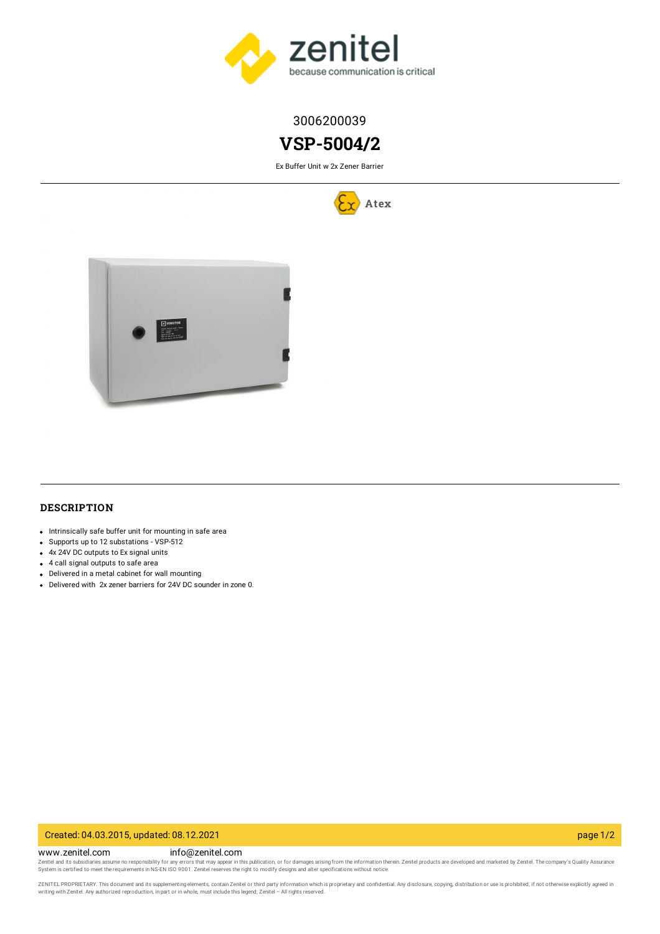

# 3006200039

# **VSP-5004/2**

Ex Buffer Unit w 2x Zener Barrier





# **DESCRIPTION**

- Intrinsically safe buffer unit for mounting in safe area
- Supports up to 12 substations VSP-512
- 4x 24V DC outputs to Ex signal units
- 4 call signal outputs to safe area
- Delivered in a metal cabinet for wall mounting
- Delivered with 2x zener barriers for 24V DC sounder in zone 0.

#### Created: 04.03.2015, updated: 08.12.2021 page 1/2

www.zenitel.com info@zenitel.com

Zenitel and its subsidiaries assume no responsibility for any errors that may appear in this publication, or for damages arising from the information therein. Zenitel products are developed and marketed by Zenitel. The com

ZENITEL PROPRIETARY. This document and its supplementing elements, contain Zenitel or third party information which is proprietary and confidential. Any disclosure, copying, distribution or use is prohibited, if not otherw